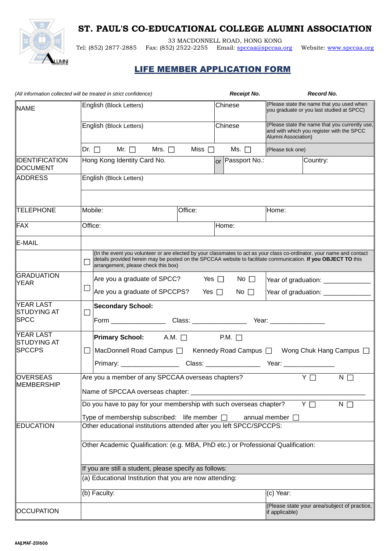## **ST. PAUL'S CO-EDUCATIONAL COLLEGE ALUMNI ASSOCIATION**



33 MACDONNELL ROAD, HONG KONG

Tel: (852) 2877-2885 Fax: (852) 2522-2255 Email: [spccaa@spccaa.org](mailto:spccaa@spccaa.org) Website: [www.spccaa.org](http://www.spccaa.org/)

## **LIFE MEMBER APPLICATION FORM**

|                                          | (All information collected will be treated in strict confidence)                                                                                                                                                                                                                | <b>Receipt No.</b>        | <b>Record No.</b>                                                                                                  |  |  |  |  |  |
|------------------------------------------|---------------------------------------------------------------------------------------------------------------------------------------------------------------------------------------------------------------------------------------------------------------------------------|---------------------------|--------------------------------------------------------------------------------------------------------------------|--|--|--|--|--|
| <b>NAME</b>                              | English (Block Letters)                                                                                                                                                                                                                                                         | Chinese                   | (Please state the name that you used when<br>you graduate or you last studied at SPCC)                             |  |  |  |  |  |
|                                          | English (Block Letters)                                                                                                                                                                                                                                                         | Chinese                   | (Please state the name that you currently use,<br>and with which you register with the SPCC<br>Alumni Association) |  |  |  |  |  |
|                                          | Dr. $\Box$ Mr. $\Box$<br>Mrs. $\Box$                                                                                                                                                                                                                                            | Miss $\Box$<br>Ms. $\Box$ | (Please tick one)                                                                                                  |  |  |  |  |  |
| <b>IDENTIFICATION</b><br><b>DOCUMENT</b> | Hong Kong Identity Card No.                                                                                                                                                                                                                                                     | or Passport No.:          | Country:                                                                                                           |  |  |  |  |  |
| <b>ADDRESS</b>                           | English (Block Letters)                                                                                                                                                                                                                                                         |                           |                                                                                                                    |  |  |  |  |  |
| <b>TELEPHONE</b>                         | Mobile:<br>Office:                                                                                                                                                                                                                                                              |                           | Home:                                                                                                              |  |  |  |  |  |
| FAX                                      | Office:                                                                                                                                                                                                                                                                         | Home:                     |                                                                                                                    |  |  |  |  |  |
| <b>E-MAIL</b>                            |                                                                                                                                                                                                                                                                                 |                           |                                                                                                                    |  |  |  |  |  |
|                                          | (In the event you volunteer or are elected by your classmates to act as your class co-ordinator, your name and contact<br>details provided herein may be posted on the SPCCAA website to facilitate communication. If you OBJECT TO this<br>arrangement, please check this box) |                           |                                                                                                                    |  |  |  |  |  |
| <b>GRADUATION</b><br><b>YEAR</b>         | Are you a graduate of SPCC? Yes $\Box$ No $\Box$                                                                                                                                                                                                                                |                           | Year of graduation: _______________                                                                                |  |  |  |  |  |
|                                          | $\mathcal{L}_{\mathcal{A}}$<br>Are you a graduate of SPCCPS? Yes $\Box$                                                                                                                                                                                                         | No $\square$              | Year of graduation: ______________                                                                                 |  |  |  |  |  |
| <b>YEAR LAST</b><br><b>STUDYING AT</b>   | <b>Secondary School:</b><br>$\Box$                                                                                                                                                                                                                                              |                           |                                                                                                                    |  |  |  |  |  |
| <b>SPCC</b>                              |                                                                                                                                                                                                                                                                                 |                           |                                                                                                                    |  |  |  |  |  |
| <b>YEAR LAST</b><br><b>STUDYING AT</b>   | <b>Primary School:</b> A.M. □ P.M. □                                                                                                                                                                                                                                            |                           |                                                                                                                    |  |  |  |  |  |
| <b>SPCCPS</b>                            | MacDonnell Road Campus □ Kennedy Road Campus □ Wong Chuk Hang Campus □<br>$\mathcal{L}_{\mathcal{A}}$                                                                                                                                                                           |                           |                                                                                                                    |  |  |  |  |  |
|                                          |                                                                                                                                                                                                                                                                                 |                           |                                                                                                                    |  |  |  |  |  |
| <b>OVERSEAS</b><br>MEMBERSHIP            | Are you a member of any SPCCAA overseas chapters?                                                                                                                                                                                                                               |                           | $Y \Box$<br>$N \Box$                                                                                               |  |  |  |  |  |
|                                          | Name of SPCCAA overseas chapter:                                                                                                                                                                                                                                                |                           |                                                                                                                    |  |  |  |  |  |
|                                          | Do you have to pay for your membership with such overseas chapter?<br>YΠ<br>$N$ $\Box$                                                                                                                                                                                          |                           |                                                                                                                    |  |  |  |  |  |
|                                          | Type of membership subscribed: life member $\square$<br>annual member $\Box$                                                                                                                                                                                                    |                           |                                                                                                                    |  |  |  |  |  |
| <b>EDUCATION</b>                         | Other educational institutions attended after you left SPCC/SPCCPS:                                                                                                                                                                                                             |                           |                                                                                                                    |  |  |  |  |  |
|                                          | Other Academic Qualification: (e.g. MBA, PhD etc.) or Professional Qualification:                                                                                                                                                                                               |                           |                                                                                                                    |  |  |  |  |  |
|                                          | If you are still a student, please specify as follows:                                                                                                                                                                                                                          |                           |                                                                                                                    |  |  |  |  |  |
|                                          | (a) Educational Institution that you are now attending:                                                                                                                                                                                                                         |                           |                                                                                                                    |  |  |  |  |  |
|                                          | (b) Faculty:                                                                                                                                                                                                                                                                    |                           | (c) Year:                                                                                                          |  |  |  |  |  |
| <b>OCCUPATION</b>                        | (Please state your area/subject of practice,<br>if applicable)                                                                                                                                                                                                                  |                           |                                                                                                                    |  |  |  |  |  |